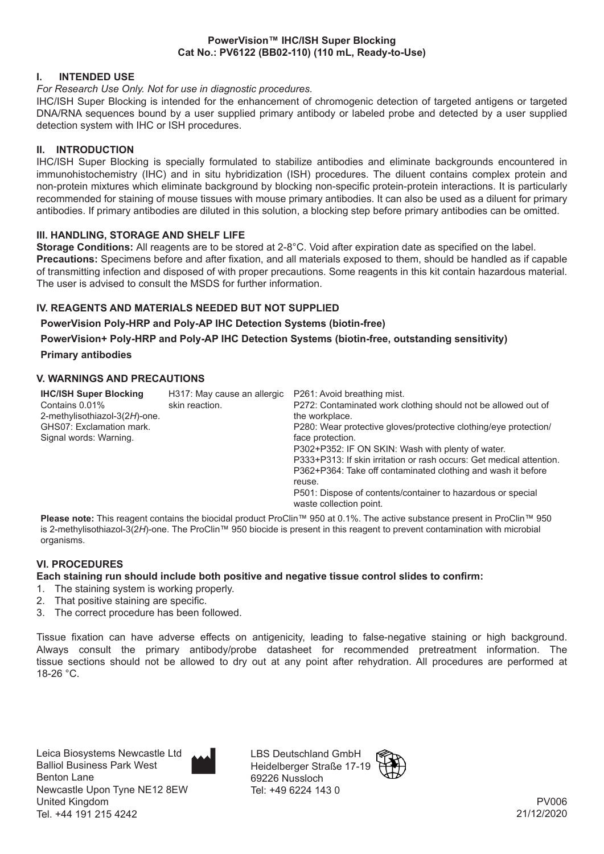#### **PowerVision™ IHC/ISH Super Blocking Cat No.: PV6122 (BB02-110) (110 mL, Ready-to-Use)**

## **I. INTENDED USE**

#### *For Research Use Only. Not for use in diagnostic procedures.*

IHC/ISH Super Blocking is intended for the enhancement of chromogenic detection of targeted antigens or targeted DNA/RNA sequences bound by a user supplied primary antibody or labeled probe and detected by a user supplied detection system with IHC or ISH procedures.

## **II. INTRODUCTION**

IHC/ISH Super Blocking is specially formulated to stabilize antibodies and eliminate backgrounds encountered in immunohistochemistry (IHC) and in situ hybridization (ISH) procedures. The diluent contains complex protein and non-protein mixtures which eliminate background by blocking non-specific protein-protein interactions. It is particularly recommended for staining of mouse tissues with mouse primary antibodies. It can also be used as a diluent for primary antibodies. If primary antibodies are diluted in this solution, a blocking step before primary antibodies can be omitted.

## **III. HANDLING, STORAGE AND SHELF LIFE**

**Storage Conditions:** All reagents are to be stored at 2-8°C. Void after expiration date as specified on the label. **Precautions:** Specimens before and after fixation, and all materials exposed to them, should be handled as if capable of transmitting infection and disposed of with proper precautions. Some reagents in this kit contain hazardous material. The user is advised to consult the MSDS for further information.

# **IV. REAGENTS AND MATERIALS NEEDED BUT NOT SUPPLIED**

## **PowerVision Poly-HRP and Poly-AP IHC Detection Systems (biotin-free)**

**PowerVision+ Poly-HRP and Poly-AP IHC Detection Systems (biotin-free, outstanding sensitivity) Primary antibodies**

## **V. WARNINGS AND PRECAUTIONS**

| <b>IHC/ISH Super Blocking</b><br>Contains 0.01%<br>2-methylisothiazol-3(2H)-one.<br>GHS07: Exclamation mark.<br>Signal words: Warning. | H317: May cause an allergic<br>skin reaction. | P261: Avoid breathing mist.<br>P272: Contaminated work clothing should not be allowed out of<br>the workplace.<br>P280: Wear protective gloves/protective clothing/eye protection/<br>face protection.<br>P302+P352: IF ON SKIN: Wash with plenty of water.<br>P333+P313: If skin irritation or rash occurs: Get medical attention.<br>P362+P364: Take off contaminated clothing and wash it before<br>reuse.<br>P501: Dispose of contents/container to hazardous or special |
|----------------------------------------------------------------------------------------------------------------------------------------|-----------------------------------------------|------------------------------------------------------------------------------------------------------------------------------------------------------------------------------------------------------------------------------------------------------------------------------------------------------------------------------------------------------------------------------------------------------------------------------------------------------------------------------|
|                                                                                                                                        |                                               | waste collection point.                                                                                                                                                                                                                                                                                                                                                                                                                                                      |

**Please note:** This reagent contains the biocidal product ProClin™ 950 at 0.1%. The active substance present in ProClin™ 950 is 2-methylisothiazol-3(2*H*)-one. The ProClin™ 950 biocide is present in this reagent to prevent contamination with microbial organisms.

# **VI. PROCEDURES**

#### **Each staining run should include both positive and negative tissue control slides to confirm:**

- 1. The staining system is working properly.
- 2. That positive staining are specific.
- 3. The correct procedure has been followed.

Tissue fixation can have adverse effects on antigenicity, leading to false-negative staining or high background. Always consult the primary antibody/probe datasheet for recommended pretreatment information. The tissue sections should not be allowed to dry out at any point after rehydration. All procedures are performed at 18-26 °C.



LBS Deutschland GmbH Heidelberger Straße 17-19 69226 Nussloch Tel: +49 6224 143 0